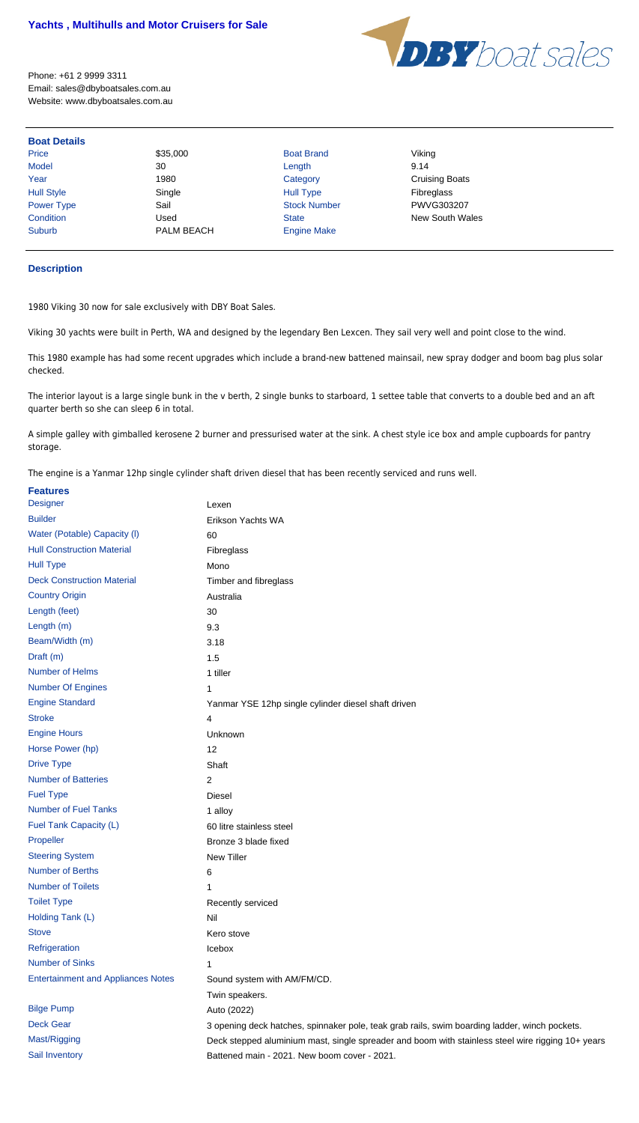

Phone: +61 2 9999 3311 Email: sales@dbyboatsales.com.au Website: www.dbyboatsales.com.au

| <b>Boat Details</b> |            |                     |                        |
|---------------------|------------|---------------------|------------------------|
| Price               | \$35,000   | <b>Boat Brand</b>   | Viking                 |
| <b>Model</b>        | 30         | Length              | 9.14                   |
| Year                | 1980       | Category            | <b>Cruising Boats</b>  |
| <b>Hull Style</b>   | Single     | <b>Hull Type</b>    | Fibreglass             |
| Power Type          | Sail       | <b>Stock Number</b> | PWVG303207             |
| Condition           | Used       | <b>State</b>        | <b>New South Wales</b> |
| <b>Suburb</b>       | PALM BEACH | <b>Engine Make</b>  |                        |

## **Description**

1980 Viking 30 now for sale exclusively with DBY Boat Sales.

Viking 30 yachts were built in Perth, WA and designed by the legendary Ben Lexcen. They sail very well and point close to the wind.

This 1980 example has had some recent upgrades which include a brand-new battened mainsail, new spray dodger and boom bag plus solar checked.

The interior layout is a large single bunk in the v berth, 2 single bunks to starboard, 1 settee table that converts to a double bed and an aft quarter berth so she can sleep 6 in total.

A simple galley with gimballed kerosene 2 burner and pressurised water at the sink. A chest style ice box and ample cupboards for pantry storage.

The engine is a Yanmar 12hp single cylinder shaft driven diesel that has been recently serviced and runs well.

| <b>Features</b>                           |                                                                                                   |
|-------------------------------------------|---------------------------------------------------------------------------------------------------|
| <b>Designer</b>                           | Lexen                                                                                             |
| <b>Builder</b>                            | Erikson Yachts WA                                                                                 |
| Water (Potable) Capacity (I)              | 60                                                                                                |
| <b>Hull Construction Material</b>         | Fibreglass                                                                                        |
| <b>Hull Type</b>                          | Mono                                                                                              |
| <b>Deck Construction Material</b>         | Timber and fibreglass                                                                             |
| <b>Country Origin</b>                     | Australia                                                                                         |
| Length (feet)                             | 30                                                                                                |
| Length (m)                                | 9.3                                                                                               |
| Beam/Width (m)                            | 3.18                                                                                              |
| Draft (m)                                 | 1.5                                                                                               |
| <b>Number of Helms</b>                    | 1 tiller                                                                                          |
| <b>Number Of Engines</b>                  | 1                                                                                                 |
| <b>Engine Standard</b>                    | Yanmar YSE 12hp single cylinder diesel shaft driven                                               |
| <b>Stroke</b>                             | 4                                                                                                 |
| <b>Engine Hours</b>                       | Unknown                                                                                           |
| Horse Power (hp)                          | 12                                                                                                |
| <b>Drive Type</b>                         | Shaft                                                                                             |
| <b>Number of Batteries</b>                | $\overline{2}$                                                                                    |
| <b>Fuel Type</b>                          | <b>Diesel</b>                                                                                     |
| <b>Number of Fuel Tanks</b>               | 1 alloy                                                                                           |
| Fuel Tank Capacity (L)                    | 60 litre stainless steel                                                                          |
| Propeller                                 | Bronze 3 blade fixed                                                                              |
| <b>Steering System</b>                    | <b>New Tiller</b>                                                                                 |
| <b>Number of Berths</b>                   | 6                                                                                                 |
| <b>Number of Toilets</b>                  | 1                                                                                                 |
| <b>Toilet Type</b>                        | Recently serviced                                                                                 |
| Holding Tank (L)                          | Nil                                                                                               |
| <b>Stove</b>                              | Kero stove                                                                                        |
| Refrigeration                             | Icebox                                                                                            |
| <b>Number of Sinks</b>                    | 1                                                                                                 |
| <b>Entertainment and Appliances Notes</b> | Sound system with AM/FM/CD.                                                                       |
|                                           | Twin speakers.                                                                                    |
| <b>Bilge Pump</b>                         | Auto (2022)                                                                                       |
| <b>Deck Gear</b>                          | 3 opening deck hatches, spinnaker pole, teak grab rails, swim boarding ladder, winch pockets.     |
| Mast/Rigging                              | Deck stepped aluminium mast, single spreader and boom with stainless steel wire rigging 10+ years |
| Sail Inventory                            | Battened main - 2021. New boom cover - 2021.                                                      |
|                                           |                                                                                                   |